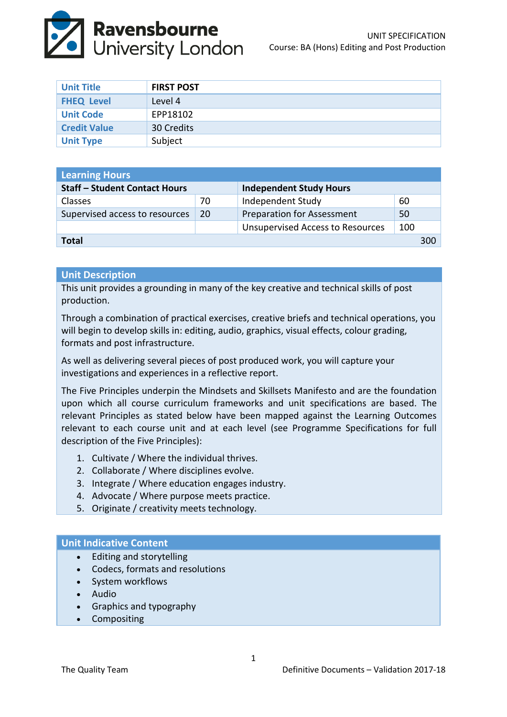

| <b>Unit Title</b>   | <b>FIRST POST</b> |
|---------------------|-------------------|
| <b>FHEQ Level</b>   | Level 4           |
| <b>Unit Code</b>    | EPP18102          |
| <b>Credit Value</b> | 30 Credits        |
| <b>Unit Type</b>    | Subject           |

| <b>Learning Hours</b>                |    |                                         |     |  |  |
|--------------------------------------|----|-----------------------------------------|-----|--|--|
| <b>Staff - Student Contact Hours</b> |    | <b>Independent Study Hours</b>          |     |  |  |
| Classes                              | 70 | Independent Study                       | 60  |  |  |
| Supervised access to resources       | 20 | <b>Preparation for Assessment</b>       | 50  |  |  |
|                                      |    | <b>Unsupervised Access to Resources</b> | 100 |  |  |
| <b>Total</b>                         |    |                                         |     |  |  |

#### **Unit Description**

This unit provides a grounding in many of the key creative and technical skills of post production.

Through a combination of practical exercises, creative briefs and technical operations, you will begin to develop skills in: editing, audio, graphics, visual effects, colour grading, formats and post infrastructure.

As well as delivering several pieces of post produced work, you will capture your investigations and experiences in a reflective report.

The Five Principles underpin the Mindsets and Skillsets Manifesto and are the foundation upon which all course curriculum frameworks and unit specifications are based. The relevant Principles as stated below have been mapped against the Learning Outcomes relevant to each course unit and at each level (see Programme Specifications for full description of the Five Principles):

- 1. Cultivate / Where the individual thrives.
- 2. Collaborate / Where disciplines evolve.
- 3. Integrate / Where education engages industry.
- 4. Advocate / Where purpose meets practice.
- 5. Originate / creativity meets technology.

#### **Unit Indicative Content**

- Editing and storytelling
- Codecs, formats and resolutions
- System workflows
- Audio
- Graphics and typography
- Compositing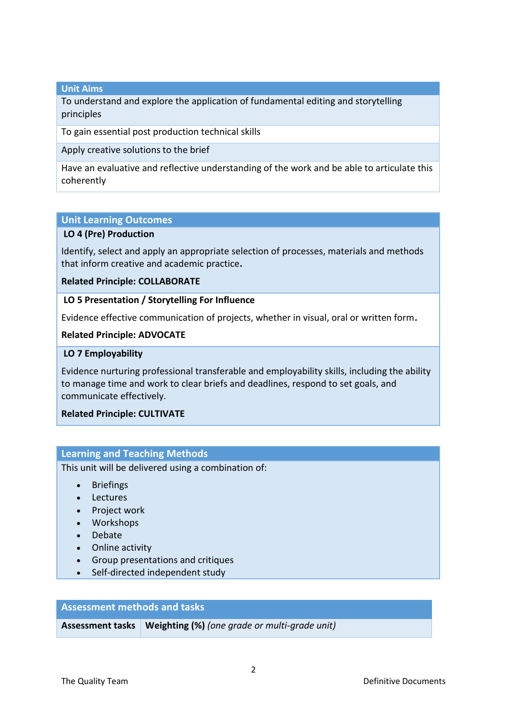## **Unit Aims**

To understand and explore the application of fundamental editing and storytelling principles

To gain essential post production technical skills

Apply creative solutions to the brief

Have an evaluative and reflective understanding of the work and be able to articulate this coherently

#### **Unit Learning Outcomes**

## **LO 4 (Pre) Production**

Identify, select and apply an appropriate selection of processes, materials and methods that inform creative and academic practice**.**

#### **Related Principle: COLLABORATE**

#### **LO 5 Presentation / Storytelling For Influence**

Evidence effective communication of projects, whether in visual, oral or written form**.**

#### **Related Principle: ADVOCATE**

#### **LO 7 Employability**

Evidence nurturing professional transferable and employability skills, including the ability to manage time and work to clear briefs and deadlines, respond to set goals, and communicate effectively.

## **Related Principle: CULTIVATE**

## **Learning and Teaching Methods**

This unit will be delivered using a combination of:

- Briefings
- Lectures
- Project work
- Workshops
- Debate
- Online activity
- Group presentations and critiques
- Self-directed independent study

## **Assessment methods and tasks**

**Assessment tasks Weighting (%)** *(one grade or multi-grade unit)*